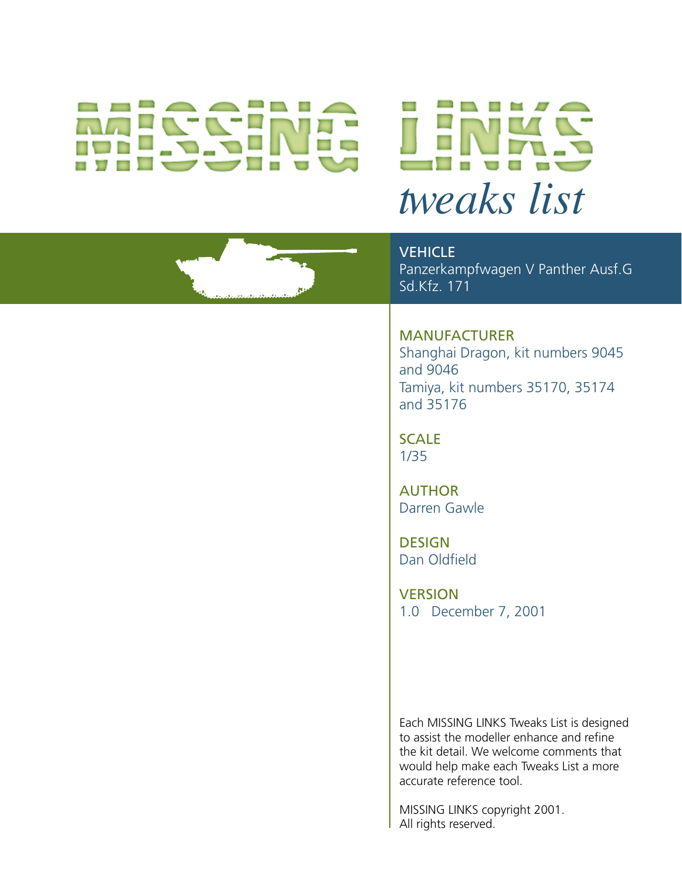# *tweaks list*



Panzerkampfwagen V Panther Ausf.G Sd.Kfz. 171

## MANUFACTURER

Shanghai Dragon, kit numbers 9045 and 9046 Tamiya, kit numbers 35170, 35174 and 35176

SCALE 1/35

AUTHOR Darren Gawle

**DESIGN** Dan Oldfield

**VERSION** 1.0 December 7, 2001

Each MISSING LINKS Tweaks List is designed to assist the modeller enhance and refine the kit detail. We welcome comments that would help make each Tweaks List a more accurate reference tool.

MISSING LINKS copyright 2001. All rights reserved.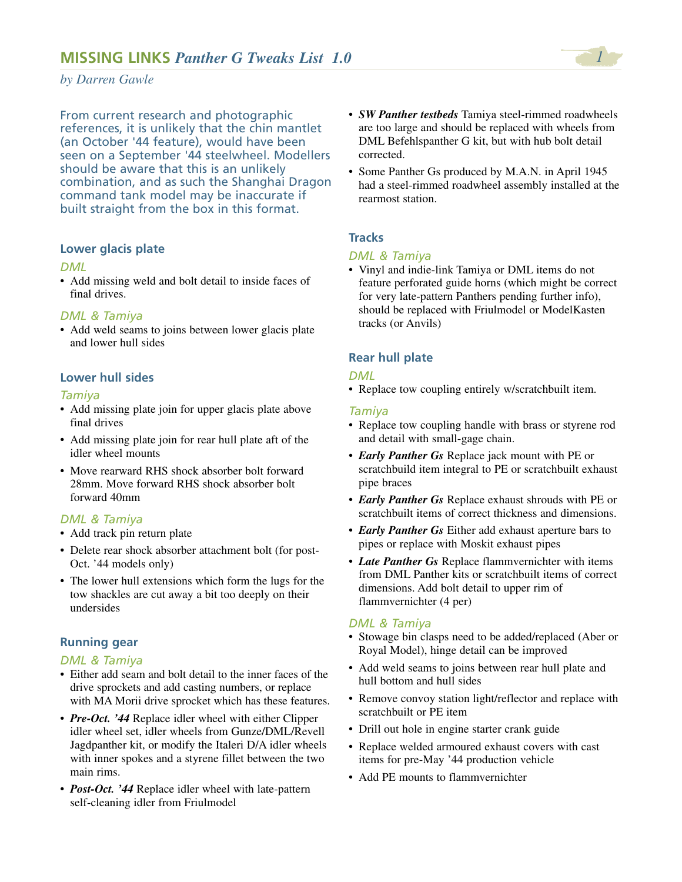From current research and photographic references, it is unlikely that the chin mantlet (an October '44 feature), would have been seen on a September '44 steelwheel. Modellers should be aware that this is an unlikely combination, and as such the Shanghai Dragon command tank model may be inaccurate if built straight from the box in this format.

### **Lower glacis plate**

### *DML*

• Add missing weld and bolt detail to inside faces of final drives.

### *DML & Tamiya*

• Add weld seams to joins between lower glacis plate and lower hull sides

### **Lower hull sides**

### *Tamiya*

- Add missing plate join for upper glacis plate above final drives
- Add missing plate join for rear hull plate aft of the idler wheel mounts
- Move rearward RHS shock absorber bolt forward 28mm. Move forward RHS shock absorber bolt forward 40mm

### *DML & Tamiya*

- Add track pin return plate
- Delete rear shock absorber attachment bolt (for post-Oct. '44 models only)
- The lower hull extensions which form the lugs for the tow shackles are cut away a bit too deeply on their undersides

### **Running gear**

### *DML & Tamiya*

- Either add seam and bolt detail to the inner faces of the drive sprockets and add casting numbers, or replace with MA Morii drive sprocket which has these features.
- *Pre-Oct.* '44 Replace idler wheel with either Clipper idler wheel set, idler wheels from Gunze/DML/Revell Jagdpanther kit, or modify the Italeri D/A idler wheels with inner spokes and a styrene fillet between the two main rims.
- *Post-Oct. '44* Replace idler wheel with late-pattern self-cleaning idler from Friulmodel
- *SW Panther testbeds* Tamiya steel-rimmed roadwheels are too large and should be replaced with wheels from DML Befehlspanther G kit, but with hub bolt detail corrected.
- Some Panther Gs produced by M.A.N. in April 1945 had a steel-rimmed roadwheel assembly installed at the rearmost station.

### **Tracks**

### *DML & Tamiya*

• Vinyl and indie-link Tamiya or DML items do not feature perforated guide horns (which might be correct for very late-pattern Panthers pending further info), should be replaced with Friulmodel or ModelKasten tracks (or Anvils)

### **Rear hull plate**

### *DML*

• Replace tow coupling entirely w/scratchbuilt item.

### *Tamiya*

- Replace tow coupling handle with brass or styrene rod and detail with small-gage chain.
- *Early Panther Gs* Replace jack mount with PE or scratchbuild item integral to PE or scratchbuilt exhaust pipe braces
- *Early Panther Gs* Replace exhaust shrouds with PE or scratchbuilt items of correct thickness and dimensions.
- *Early Panther Gs* Either add exhaust aperture bars to pipes or replace with Moskit exhaust pipes
- *Late Panther Gs* Replace flammvernichter with items from DML Panther kits or scratchbuilt items of correct dimensions. Add bolt detail to upper rim of flammvernichter (4 per)

### *DML & Tamiya*

- Stowage bin clasps need to be added/replaced (Aber or Royal Model), hinge detail can be improved
- Add weld seams to joins between rear hull plate and hull bottom and hull sides
- Remove convoy station light/reflector and replace with scratchbuilt or PE item
- Drill out hole in engine starter crank guide
- Replace welded armoured exhaust covers with cast items for pre-May '44 production vehicle
- Add PE mounts to flammvernichter

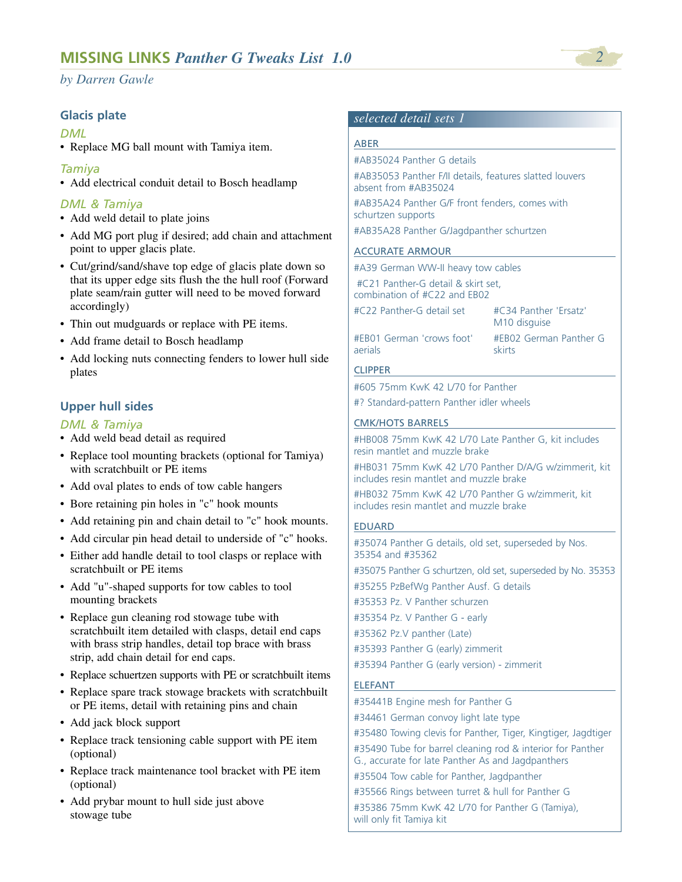### **Glacis plate**

### *DML*

• Replace MG ball mount with Tamiya item.

### *Tamiya*

• Add electrical conduit detail to Bosch headlamp

### *DML & Tamiya*

- Add weld detail to plate joins
- Add MG port plug if desired; add chain and attachment point to upper glacis plate.
- Cut/grind/sand/shave top edge of glacis plate down so that its upper edge sits flush the the hull roof (Forward plate seam/rain gutter will need to be moved forward accordingly)
- Thin out mudguards or replace with PE items.
- Add frame detail to Bosch headlamp
- Add locking nuts connecting fenders to lower hull side plates

### **Upper hull sides**

### *DML & Tamiya*

- Add weld bead detail as required
- Replace tool mounting brackets (optional for Tamiya) with scratchbuilt or PE items
- Add oval plates to ends of tow cable hangers
- Bore retaining pin holes in "c" hook mounts
- Add retaining pin and chain detail to "c" hook mounts.
- Add circular pin head detail to underside of "c" hooks.
- Either add handle detail to tool clasps or replace with scratchbuilt or PE items
- Add "u"-shaped supports for tow cables to tool mounting brackets
- Replace gun cleaning rod stowage tube with scratchbuilt item detailed with clasps, detail end caps with brass strip handles, detail top brace with brass strip, add chain detail for end caps.
- Replace schuertzen supports with PE or scratchbuilt items
- Replace spare track stowage brackets with scratchbuilt or PE items, detail with retaining pins and chain
- Add jack block support
- Replace track tensioning cable support with PE item (optional)
- Replace track maintenance tool bracket with PE item (optional)
- Add prybar mount to hull side just above stowage tube

### *selected detail sets 1*

### ABER

#AB35024 Panther G details

#AB35053 Panther F/II details, features slatted louvers absent from #AB35024

#AB35A24 Panther G/F front fenders, comes with schurtzen supports

#AB35A28 Panther G/Jagdpanther schurtzen

### ACCURATE ARMOUR

#A39 German WW-II heavy tow cables

#C21 Panther-G detail & skirt set, combination of #C22 and EB02

#C22 Panther-G detail set #C34 Panther 'Ersatz'

M10 disguise

#EB01 German 'crows foot' #EB02 German Panther G aerials skirts

### CLIPPER

#605 75mm KwK 42 L/70 for Panther #? Standard-pattern Panther idler wheels

### CMK/HOTS BARRELS

#HB008 75mm KwK 42 L/70 Late Panther G, kit includes resin mantlet and muzzle brake

#HB031 75mm KwK 42 L/70 Panther D/A/G w/zimmerit, kit includes resin mantlet and muzzle brake

#HB032 75mm KwK 42 L/70 Panther G w/zimmerit, kit includes resin mantlet and muzzle brake

### EDUARD

#35074 Panther G details, old set, superseded by Nos. 35354 and #35362 #35075 Panther G schurtzen, old set, superseded by No. 35353 #35255 PzBefWg Panther Ausf. G details #35353 Pz. V Panther schurzen #35354 Pz. V Panther G - early #35362 Pz.V panther (Late) #35393 Panther G (early) zimmerit #35394 Panther G (early version) - zimmerit

### ELEFANT

#35441B Engine mesh for Panther G #34461 German convoy light late type #35480 Towing clevis for Panther, Tiger, Kingtiger, Jagdtiger #35490 Tube for barrel cleaning rod & interior for Panther G., accurate for late Panther As and Jagdpanthers #35504 Tow cable for Panther, Jagdpanther #35566 Rings between turret & hull for Panther G #35386 75mm KwK 42 L/70 for Panther G (Tamiya),

will only fit Tamiya kit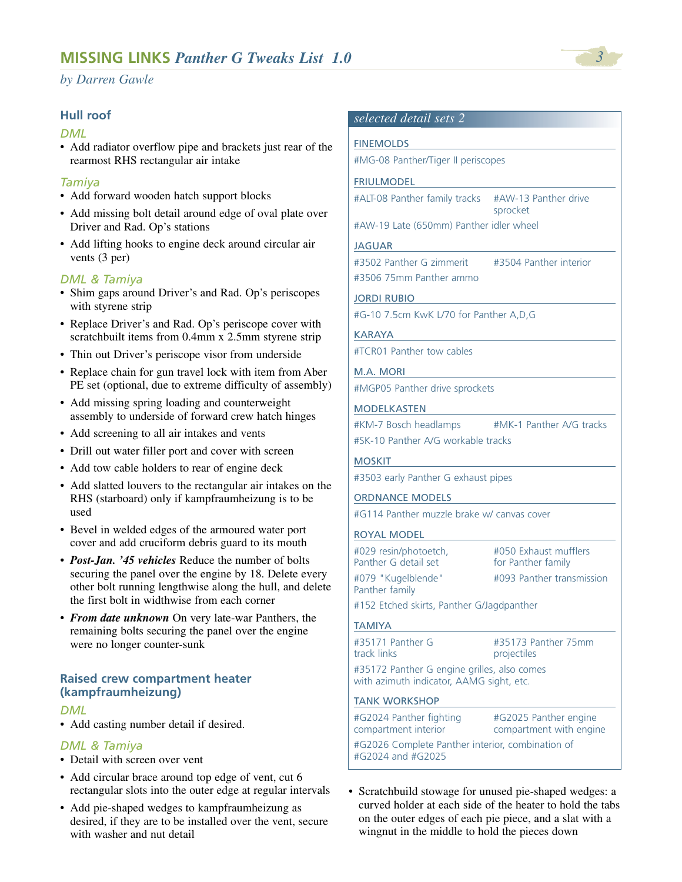### **Hull roof**

### *DML*

• Add radiator overflow pipe and brackets just rear of the rearmost RHS rectangular air intake

### *Tamiya*

- Add forward wooden hatch support blocks
- Add missing bolt detail around edge of oval plate over Driver and Rad. Op's stations
- Add lifting hooks to engine deck around circular air vents (3 per)

### *DML & Tamiya*

- Shim gaps around Driver's and Rad. Op's periscopes with styrene strip
- Replace Driver's and Rad. Op's periscope cover with scratchbuilt items from 0.4mm x 2.5mm styrene strip
- Thin out Driver's periscope visor from underside
- Replace chain for gun travel lock with item from Aber PE set (optional, due to extreme difficulty of assembly)
- Add missing spring loading and counterweight assembly to underside of forward crew hatch hinges
- Add screening to all air intakes and vents
- Drill out water filler port and cover with screen
- Add tow cable holders to rear of engine deck
- Add slatted louvers to the rectangular air intakes on the RHS (starboard) only if kampfraumheizung is to be used
- Bevel in welded edges of the armoured water port cover and add cruciform debris guard to its mouth
- *Post-Jan. '45 vehicles* Reduce the number of bolts securing the panel over the engine by 18. Delete every other bolt running lengthwise along the hull, and delete the first bolt in widthwise from each corner
- *From date unknown* On very late-war Panthers, the remaining bolts securing the panel over the engine were no longer counter-sunk

### **Raised crew compartment heater (kampfraumheizung)**

### *DML*

• Add casting number detail if desired.

### *DML & Tamiya*

- Detail with screen over vent
- Add circular brace around top edge of vent, cut 6 rectangular slots into the outer edge at regular intervals
- Add pie-shaped wedges to kampfraumheizung as desired, if they are to be installed over the vent, secure with washer and nut detail

### *selected detail sets 2*

# **FINEMOLDS** #MG-08 Panther/Tiger II periscopes FRIULMODEL #ALT-08 Panther family tracks #AW-13 Panther drive #AW-19 Late (650mm) Panther idler wheel JAGUAR

#3502 Panther G zimmerit #3504 Panther interior #3506 75mm Panther ammo

JORDI RUBIO

#G-10 7.5cm KwK L/70 for Panther A,D,G

### KARAYA

#TCR01 Panther tow cables

### M.A. MORI

#MGP05 Panther drive sprockets

### MODELKASTEN

| #KM-7 Bosch headlamps              | #MK-1 Panther A/G tracks |
|------------------------------------|--------------------------|
| #SK-10 Panther A/G workable tracks |                          |

sprocket

### **MOSKIT**

#3503 early Panther G exhaust pipes

### ORDNANCE MODELS

#G114 Panther muzzle brake w/ canvas cover

### ROYAL MODEL

Panther family

#029 resin/photoetch, #050 Exhaust mufflers Panther G detail set for Panther family

#079 "Kugelblende" #093 Panther transmission

#152 Etched skirts, Panther G/Jagdpanther

### TAMIYA

#35171 Panther G #35173 Panther 75mm track links **projectiles** 

#35172 Panther G engine grilles, also comes with azimuth indicator, AAMG sight, etc.

### TANK WORKSHOP

#G2024 Panther fighting #G2025 Panther engine compartment with engine #G2026 Complete Panther interior, combination of #G2024 and #G2025

• Scratchbuild stowage for unused pie-shaped wedges: a curved holder at each side of the heater to hold the tabs on the outer edges of each pie piece, and a slat with a wingnut in the middle to hold the pieces down

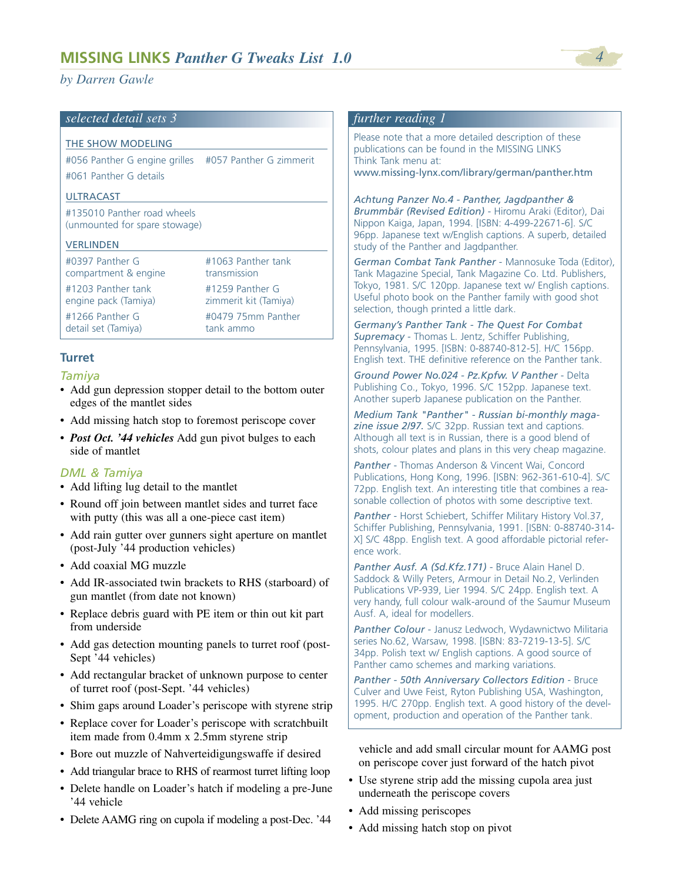## *selected detail sets 3*

### THE SHOW MODELING

#056 Panther G engine grilles #057 Panther G zimmerit #061 Panther G details

### ULTRACAST

#135010 Panther road wheels (unmounted for spare stowage)

### **VERLINDEN**

| #0397 Panther G      | #1063 Panther tank    |
|----------------------|-----------------------|
| compartment & engine | transmission          |
| #1203 Panther tank   | #1259 Panther G       |
| engine pack (Tamiya) | zimmerit kit (Tamiya) |
| $#1266$ Panther G    | #0479 75mm Panther    |
| detail set (Tamiya)  | tank ammo             |

### **Turret**

### *Tamiya*

- Add gun depression stopper detail to the bottom outer edges of the mantlet sides
- Add missing hatch stop to foremost periscope cover
- *Post Oct. '44 vehicles* Add gun pivot bulges to each side of mantlet

### *DML & Tamiya*

- Add lifting lug detail to the mantlet
- Round off join between mantlet sides and turret face with putty (this was all a one-piece cast item)
- Add rain gutter over gunners sight aperture on mantlet (post-July '44 production vehicles)
- Add coaxial MG muzzle
- Add IR-associated twin brackets to RHS (starboard) of gun mantlet (from date not known)
- Replace debris guard with PE item or thin out kit part from underside
- Add gas detection mounting panels to turret roof (post-Sept '44 vehicles)
- Add rectangular bracket of unknown purpose to center of turret roof (post-Sept. '44 vehicles)
- Shim gaps around Loader's periscope with styrene strip
- Replace cover for Loader's periscope with scratchbuilt item made from 0.4mm x 2.5mm styrene strip
- Bore out muzzle of Nahverteidigungswaffe if desired
- Add triangular brace to RHS of rearmost turret lifting loop
- Delete handle on Loader's hatch if modeling a pre-June '44 vehicle
- Delete AAMG ring on cupola if modeling a post-Dec. '44

### *further reading 1*

Please note that a more detailed description of these publications can be found in the MISSING LINKS Think Tank menu at: www.missing-lynx.com/library/german/panther.htm

*Achtung Panzer No.4 - Panther, Jagdpanther & Brummbär (Revised Edition)* - Hiromu Araki (Editor), Dai Nippon Kaiga, Japan, 1994. [ISBN: 4-499-22671-6]. S/C 96pp. Japanese text w/English captions. A superb, detailed study of the Panther and Jagdpanther.

*German Combat Tank Panther* - Mannosuke Toda (Editor), Tank Magazine Special, Tank Magazine Co. Ltd. Publishers, Tokyo, 1981. S/C 120pp. Japanese text w/ English captions. Useful photo book on the Panther family with good shot selection, though printed a little dark.

*Germany's Panther Tank - The Quest For Combat Supremacy* - Thomas L. Jentz, Schiffer Publishing, Pennsylvania, 1995. [ISBN: 0-88740-812-5]. H/C 156pp. English text. THE definitive reference on the Panther tank.

*Ground Power No.024 - Pz.Kpfw. V Panther* - Delta Publishing Co., Tokyo, 1996. S/C 152pp. Japanese text. Another superb Japanese publication on the Panther.

*Medium Tank "Panther" - Russian bi-monthly magazine issue 2/97.* S/C 32pp. Russian text and captions. Although all text is in Russian, there is a good blend of shots, colour plates and plans in this very cheap magazine.

*Panther* - Thomas Anderson & Vincent Wai, Concord Publications, Hong Kong, 1996. [ISBN: 962-361-610-4]. S/C 72pp. English text. An interesting title that combines a reasonable collection of photos with some descriptive text.

*Panther* - Horst Schiebert, Schiffer Military History Vol.37, Schiffer Publishing, Pennsylvania, 1991. [ISBN: 0-88740-314- X] S/C 48pp. English text. A good affordable pictorial reference work.

*Panther Ausf. A (Sd.Kfz.171)* - Bruce Alain Hanel D. Saddock & Willy Peters, Armour in Detail No.2, Verlinden Publications VP-939, Lier 1994. S/C 24pp. English text. A very handy, full colour walk-around of the Saumur Museum Ausf. A, ideal for modellers.

*Panther Colour* - Janusz Ledwoch, Wydawnictwo Militaria series No.62, Warsaw, 1998. [ISBN: 83-7219-13-5]. S/C 34pp. Polish text w/ English captions. A good source of Panther camo schemes and marking variations.

*Panther - 50th Anniversary Collectors Edition* - Bruce Culver and Uwe Feist, Ryton Publishing USA, Washington, 1995. H/C 270pp. English text. A good history of the development, production and operation of the Panther tank.

vehicle and add small circular mount for AAMG post on periscope cover just forward of the hatch pivot

- Use styrene strip add the missing cupola area just underneath the periscope covers
- Add missing periscopes
- Add missing hatch stop on pivot